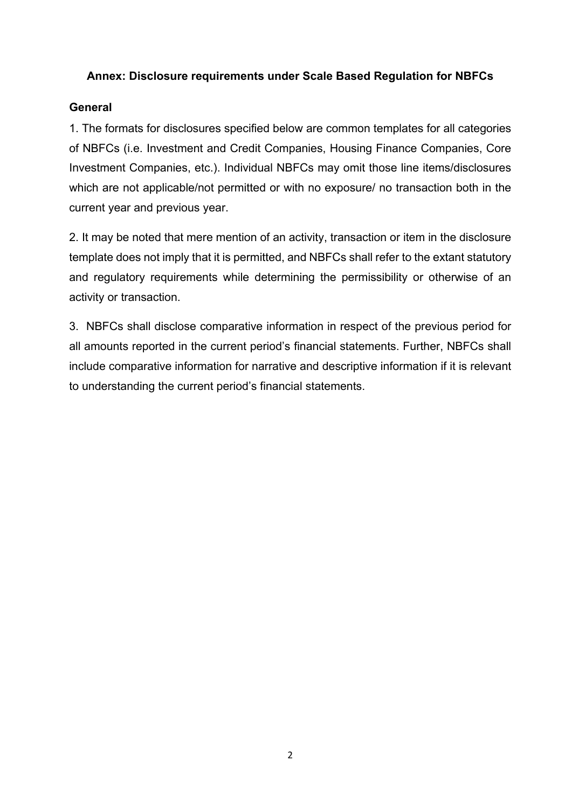### **Annex: Disclosure requirements under Scale Based Regulation for NBFCs**

### **General**

1. The formats for disclosures specified below are common templates for all categories of NBFCs (i.e. Investment and Credit Companies, Housing Finance Companies, Core Investment Companies, etc.). Individual NBFCs may omit those line items/disclosures which are not applicable/not permitted or with no exposure/ no transaction both in the current year and previous year.

2. It may be noted that mere mention of an activity, transaction or item in the disclosure template does not imply that it is permitted, and NBFCs shall refer to the extant statutory and regulatory requirements while determining the permissibility or otherwise of an activity or transaction.

3. NBFCs shall disclose comparative information in respect of the previous period for all amounts reported in the current period's financial statements. Further, NBFCs shall include comparative information for narrative and descriptive information if it is relevant to understanding the current period's financial statements.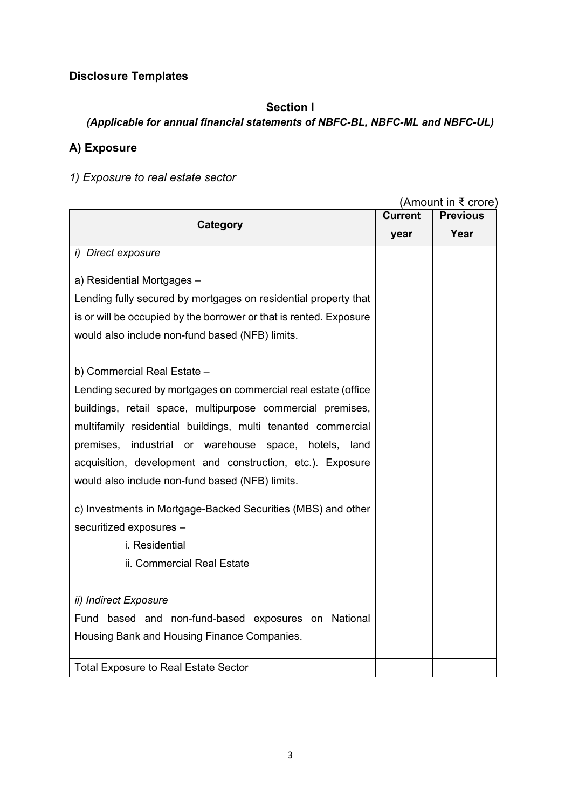# **Disclosure Templates**

## **Section I**

## *(Applicable for annual financial statements of NBFC-BL, NBFC-ML and NBFC-UL)*

# **A) Exposure**

# *1) Exposure to real estate sector*

|                                                                    |                | (Amount in ₹ crore) |
|--------------------------------------------------------------------|----------------|---------------------|
| Category                                                           | <b>Current</b> | <b>Previous</b>     |
|                                                                    | year           | Year                |
| i) Direct exposure                                                 |                |                     |
|                                                                    |                |                     |
| a) Residential Mortgages -                                         |                |                     |
| Lending fully secured by mortgages on residential property that    |                |                     |
| is or will be occupied by the borrower or that is rented. Exposure |                |                     |
| would also include non-fund based (NFB) limits.                    |                |                     |
|                                                                    |                |                     |
| b) Commercial Real Estate -                                        |                |                     |
| Lending secured by mortgages on commercial real estate (office     |                |                     |
| buildings, retail space, multipurpose commercial premises,         |                |                     |
| multifamily residential buildings, multi tenanted commercial       |                |                     |
| industrial or warehouse<br>premises,<br>space, hotels,<br>land     |                |                     |
| acquisition, development and construction, etc.). Exposure         |                |                     |
| would also include non-fund based (NFB) limits.                    |                |                     |
|                                                                    |                |                     |
| c) Investments in Mortgage-Backed Securities (MBS) and other       |                |                     |
| securitized exposures -                                            |                |                     |
| i. Residential                                                     |                |                     |
| ii. Commercial Real Estate                                         |                |                     |
|                                                                    |                |                     |
| ii) Indirect Exposure                                              |                |                     |
| Fund based and non-fund-based exposures on National                |                |                     |
| Housing Bank and Housing Finance Companies.                        |                |                     |
|                                                                    |                |                     |
| <b>Total Exposure to Real Estate Sector</b>                        |                |                     |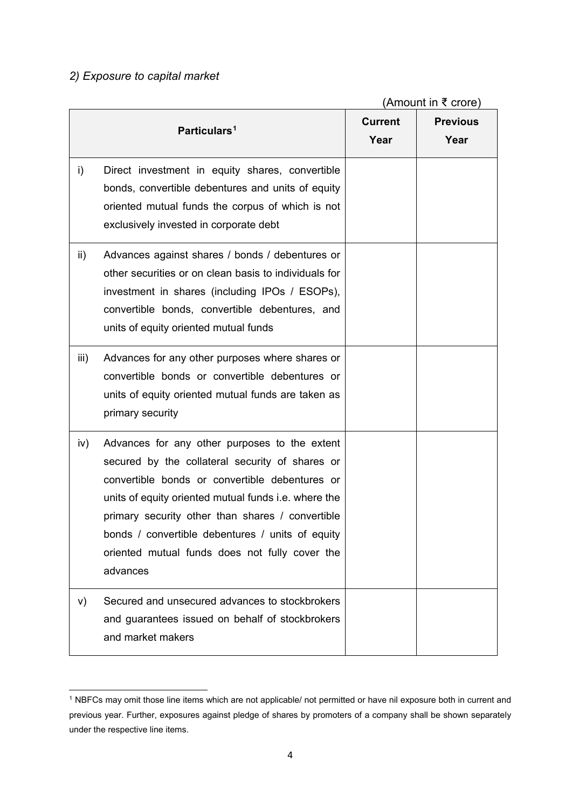## *2) Exposure to capital market*

(Amount in ₹ crore)

|      | Particulars <sup>1</sup>                                                                                                                                                                                                                                                                                                                                                         | <b>Current</b><br>Year | <b>Previous</b><br>Year |
|------|----------------------------------------------------------------------------------------------------------------------------------------------------------------------------------------------------------------------------------------------------------------------------------------------------------------------------------------------------------------------------------|------------------------|-------------------------|
| i)   | Direct investment in equity shares, convertible<br>bonds, convertible debentures and units of equity<br>oriented mutual funds the corpus of which is not<br>exclusively invested in corporate debt                                                                                                                                                                               |                        |                         |
| ii)  | Advances against shares / bonds / debentures or<br>other securities or on clean basis to individuals for<br>investment in shares (including IPOs / ESOPs),<br>convertible bonds, convertible debentures, and<br>units of equity oriented mutual funds                                                                                                                            |                        |                         |
| iii) | Advances for any other purposes where shares or<br>convertible bonds or convertible debentures or<br>units of equity oriented mutual funds are taken as<br>primary security                                                                                                                                                                                                      |                        |                         |
| iv)  | Advances for any other purposes to the extent<br>secured by the collateral security of shares or<br>convertible bonds or convertible debentures or<br>units of equity oriented mutual funds i.e. where the<br>primary security other than shares / convertible<br>bonds / convertible debentures / units of equity<br>oriented mutual funds does not fully cover the<br>advances |                        |                         |
| V)   | Secured and unsecured advances to stockbrokers<br>and guarantees issued on behalf of stockbrokers<br>and market makers                                                                                                                                                                                                                                                           |                        |                         |

<span id="page-2-0"></span>**<sup>.</sup>** <sup>1</sup> NBFCs may omit those line items which are not applicable/ not permitted or have nil exposure both in current and previous year. Further, exposures against pledge of shares by promoters of a company shall be shown separately under the respective line items.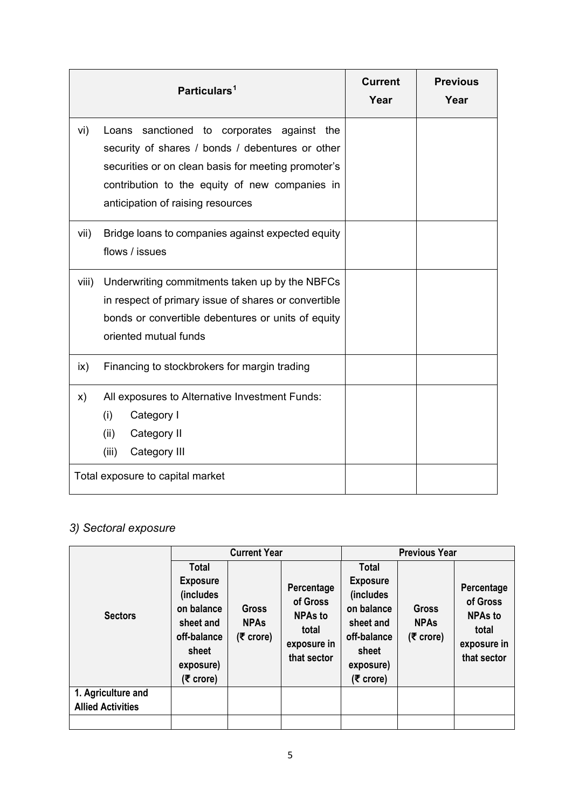|               | Particulars <sup>1</sup>                                                                                                                                                                                                                        | <b>Current</b><br>Year | <b>Previous</b><br>Year |
|---------------|-------------------------------------------------------------------------------------------------------------------------------------------------------------------------------------------------------------------------------------------------|------------------------|-------------------------|
| vi)           | sanctioned to corporates against the<br>Loans<br>security of shares / bonds / debentures or other<br>securities or on clean basis for meeting promoter's<br>contribution to the equity of new companies in<br>anticipation of raising resources |                        |                         |
| vii)          | Bridge loans to companies against expected equity<br>flows / issues                                                                                                                                                                             |                        |                         |
| viii)         | Underwriting commitments taken up by the NBFCs<br>in respect of primary issue of shares or convertible<br>bonds or convertible debentures or units of equity<br>oriented mutual funds                                                           |                        |                         |
| $\mathsf{ix}$ | Financing to stockbrokers for margin trading                                                                                                                                                                                                    |                        |                         |
| X)            | All exposures to Alternative Investment Funds:<br>(i)<br>Category I<br>(ii)<br>Category II<br>(iii)<br>Category III                                                                                                                             |                        |                         |
|               | Total exposure to capital market                                                                                                                                                                                                                |                        |                         |

# *3) Sectoral exposure*

|                                                |                                                                                                                           | <b>Current Year</b>                      |                                                                                 |                                                     | <b>Previous Year</b><br><b>Total</b><br><b>Exposure</b><br>(includes<br>Gross<br><b>NPAs</b><br>sheet and<br>total<br>(₹ crore)<br>sheet |                                                                        |  |  |
|------------------------------------------------|---------------------------------------------------------------------------------------------------------------------------|------------------------------------------|---------------------------------------------------------------------------------|-----------------------------------------------------|------------------------------------------------------------------------------------------------------------------------------------------|------------------------------------------------------------------------|--|--|
| <b>Sectors</b>                                 | <b>Total</b><br><b>Exposure</b><br>(includes<br>on balance<br>sheet and<br>off-balance<br>sheet<br>exposure)<br>(₹ crore) | <b>Gross</b><br><b>NPAs</b><br>(₹ crore) | Percentage<br>of Gross<br><b>NPAs to</b><br>total<br>exposure in<br>that sector | on balance<br>off-balance<br>exposure)<br>(₹ crore) |                                                                                                                                          | Percentage<br>of Gross<br><b>NPAs to</b><br>exposure in<br>that sector |  |  |
| 1. Agriculture and<br><b>Allied Activities</b> |                                                                                                                           |                                          |                                                                                 |                                                     |                                                                                                                                          |                                                                        |  |  |
|                                                |                                                                                                                           |                                          |                                                                                 |                                                     |                                                                                                                                          |                                                                        |  |  |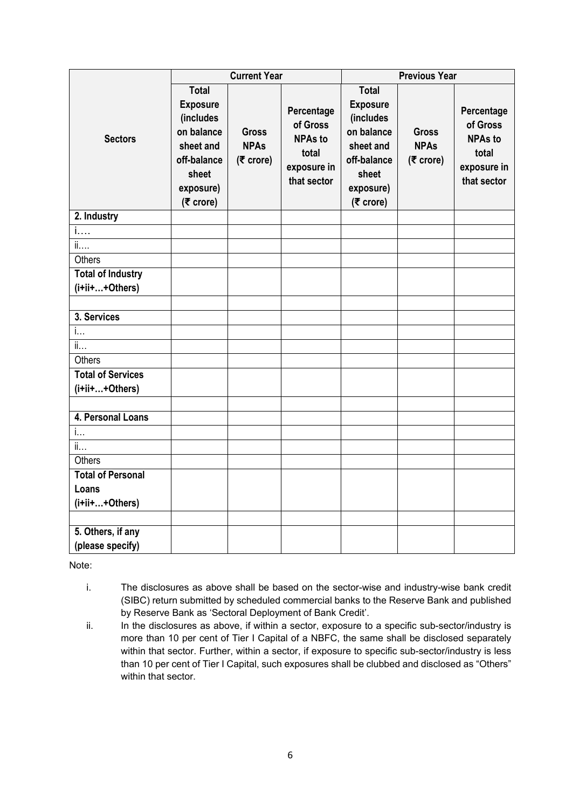|                                               |                                                                                                                           | <b>Current Year</b>                        |                                                                                 |                                                                                                                             | <b>Previous Year</b>                       |                                                                                 |
|-----------------------------------------------|---------------------------------------------------------------------------------------------------------------------------|--------------------------------------------|---------------------------------------------------------------------------------|-----------------------------------------------------------------------------------------------------------------------------|--------------------------------------------|---------------------------------------------------------------------------------|
| <b>Sectors</b>                                | <b>Total</b><br><b>Exposure</b><br>(includes<br>on balance<br>sheet and<br>off-balance<br>sheet<br>exposure)<br>(₹ crore) | <b>Gross</b><br><b>NPAs</b><br>$(5$ crore) | Percentage<br>of Gross<br><b>NPAs to</b><br>total<br>exposure in<br>that sector | <b>Total</b><br><b>Exposure</b><br>(includes<br>on balance<br>sheet and<br>off-balance<br>sheet<br>exposure)<br>$(5$ crore) | <b>Gross</b><br><b>NPAs</b><br>$(5$ crore) | Percentage<br>of Gross<br><b>NPAs to</b><br>total<br>exposure in<br>that sector |
| 2. Industry                                   |                                                                                                                           |                                            |                                                                                 |                                                                                                                             |                                            |                                                                                 |
| i                                             |                                                                                                                           |                                            |                                                                                 |                                                                                                                             |                                            |                                                                                 |
| ii                                            |                                                                                                                           |                                            |                                                                                 |                                                                                                                             |                                            |                                                                                 |
| Others                                        |                                                                                                                           |                                            |                                                                                 |                                                                                                                             |                                            |                                                                                 |
| <b>Total of Industry</b>                      |                                                                                                                           |                                            |                                                                                 |                                                                                                                             |                                            |                                                                                 |
| (i+ii++Others)                                |                                                                                                                           |                                            |                                                                                 |                                                                                                                             |                                            |                                                                                 |
|                                               |                                                                                                                           |                                            |                                                                                 |                                                                                                                             |                                            |                                                                                 |
| 3. Services                                   |                                                                                                                           |                                            |                                                                                 |                                                                                                                             |                                            |                                                                                 |
| i                                             |                                                                                                                           |                                            |                                                                                 |                                                                                                                             |                                            |                                                                                 |
| $\overline{\mathfrak{l} \mathfrak{l} \ldots}$ |                                                                                                                           |                                            |                                                                                 |                                                                                                                             |                                            |                                                                                 |
| <b>Others</b>                                 |                                                                                                                           |                                            |                                                                                 |                                                                                                                             |                                            |                                                                                 |
| <b>Total of Services</b>                      |                                                                                                                           |                                            |                                                                                 |                                                                                                                             |                                            |                                                                                 |
| (i+ii++Others)                                |                                                                                                                           |                                            |                                                                                 |                                                                                                                             |                                            |                                                                                 |
|                                               |                                                                                                                           |                                            |                                                                                 |                                                                                                                             |                                            |                                                                                 |
| 4. Personal Loans                             |                                                                                                                           |                                            |                                                                                 |                                                                                                                             |                                            |                                                                                 |
| i                                             |                                                                                                                           |                                            |                                                                                 |                                                                                                                             |                                            |                                                                                 |
| ii                                            |                                                                                                                           |                                            |                                                                                 |                                                                                                                             |                                            |                                                                                 |
| <b>Others</b>                                 |                                                                                                                           |                                            |                                                                                 |                                                                                                                             |                                            |                                                                                 |
| <b>Total of Personal</b>                      |                                                                                                                           |                                            |                                                                                 |                                                                                                                             |                                            |                                                                                 |
| Loans                                         |                                                                                                                           |                                            |                                                                                 |                                                                                                                             |                                            |                                                                                 |
| (i+ii++Others)                                |                                                                                                                           |                                            |                                                                                 |                                                                                                                             |                                            |                                                                                 |
|                                               |                                                                                                                           |                                            |                                                                                 |                                                                                                                             |                                            |                                                                                 |
| 5. Others, if any                             |                                                                                                                           |                                            |                                                                                 |                                                                                                                             |                                            |                                                                                 |
| (please specify)                              |                                                                                                                           |                                            |                                                                                 |                                                                                                                             |                                            |                                                                                 |

Note:

- i. The disclosures as above shall be based on the sector-wise and industry-wise bank credit (SIBC) return submitted by scheduled commercial banks to the Reserve Bank and published by Reserve Bank as 'Sectoral Deployment of Bank Credit'.
- ii. In the disclosures as above, if within a sector, exposure to a specific sub-sector/industry is more than 10 per cent of Tier I Capital of a NBFC, the same shall be disclosed separately within that sector. Further, within a sector, if exposure to specific sub-sector/industry is less than 10 per cent of Tier I Capital, such exposures shall be clubbed and disclosed as "Others" within that sector.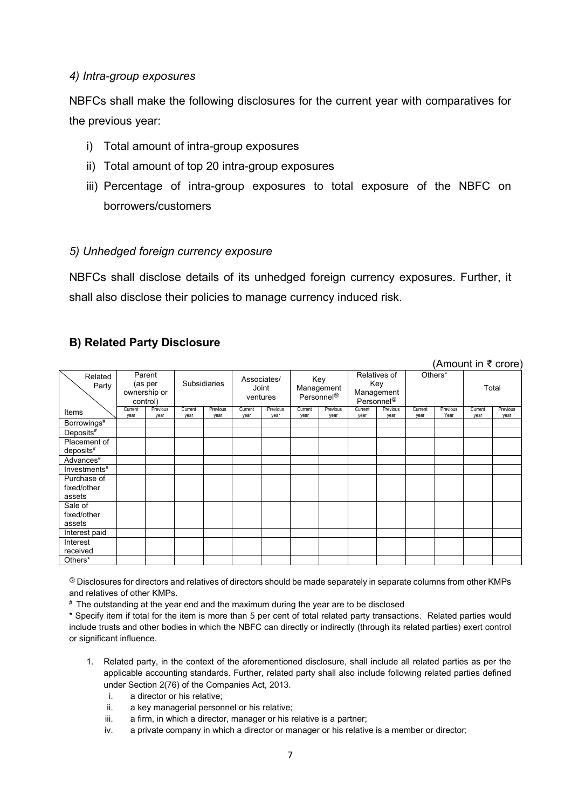### *4) Intra-group exposures*

NBFCs shall make the following disclosures for the current year with comparatives for the previous year:

- i) Total amount of intra-group exposures
- ii) Total amount of top 20 intra-group exposures
- iii) Percentage of intra-group exposures to total exposure of the NBFC on borrowers/customers

#### *5) Unhedged foreign currency exposure*

NBFCs shall disclose details of its unhedged foreign currency exposures. Further, it shall also disclose their policies to manage currency induced risk.

### **B) Related Party Disclosure**

#### (Amount in ₹ crore)

|                                         |                 |                                               |                     |                  |                 |                                  |                 |                                             |                 |                                                             |                 |                  | $1.11$ $\sigma$ and $1.11$ $\sigma$ $\sigma$ $\sigma$ $\sigma$ |                  |
|-----------------------------------------|-----------------|-----------------------------------------------|---------------------|------------------|-----------------|----------------------------------|-----------------|---------------------------------------------|-----------------|-------------------------------------------------------------|-----------------|------------------|----------------------------------------------------------------|------------------|
| Related<br>Party                        |                 | Parent<br>(as per<br>ownership or<br>control) | <b>Subsidiaries</b> |                  |                 | Associates/<br>Joint<br>ventures |                 | Key<br>Management<br>Personnel <sup>@</sup> |                 | Relatives of<br>Key<br>Management<br>Personnel <sup>@</sup> |                 | Others*          |                                                                | Total            |
| Items                                   | Current<br>year | Previous<br>year                              | Current<br>year     | Previous<br>year | Current<br>year | Previous<br>year                 | Current<br>year | Previous<br>year                            | Current<br>year | Previous<br>year                                            | Current<br>year | Previous<br>Year | Current<br>year                                                | Previous<br>year |
| Borrowings <sup>#</sup>                 |                 |                                               |                     |                  |                 |                                  |                 |                                             |                 |                                                             |                 |                  |                                                                |                  |
| Deposits#                               |                 |                                               |                     |                  |                 |                                  |                 |                                             |                 |                                                             |                 |                  |                                                                |                  |
| Placement of<br>$deposits$ <sup>#</sup> |                 |                                               |                     |                  |                 |                                  |                 |                                             |                 |                                                             |                 |                  |                                                                |                  |
| Advances <sup>#</sup>                   |                 |                                               |                     |                  |                 |                                  |                 |                                             |                 |                                                             |                 |                  |                                                                |                  |
| Investments#                            |                 |                                               |                     |                  |                 |                                  |                 |                                             |                 |                                                             |                 |                  |                                                                |                  |
| Purchase of<br>fixed/other<br>assets    |                 |                                               |                     |                  |                 |                                  |                 |                                             |                 |                                                             |                 |                  |                                                                |                  |
| Sale of<br>fixed/other<br>assets        |                 |                                               |                     |                  |                 |                                  |                 |                                             |                 |                                                             |                 |                  |                                                                |                  |
| Interest paid                           |                 |                                               |                     |                  |                 |                                  |                 |                                             |                 |                                                             |                 |                  |                                                                |                  |
| Interest<br>received                    |                 |                                               |                     |                  |                 |                                  |                 |                                             |                 |                                                             |                 |                  |                                                                |                  |
| Others*                                 |                 |                                               |                     |                  |                 |                                  |                 |                                             |                 |                                                             |                 |                  |                                                                |                  |

@ Disclosures for directors and relatives of directors should be made separately in separate columns from other KMPs and relatives of other KMPs.

# The outstanding at the year end and the maximum during the year are to be disclosed

\* Specify item if total for the item is more than 5 per cent of total related party transactions. Related parties would include trusts and other bodies in which the NBFC can directly or indirectly (through its related parties) exert control or significant influence.

- 1. Related party, in the context of the aforementioned disclosure, shall include all related parties as per the applicable accounting standards. Further, related party shall also include following related parties defined under Section 2(76) of the Companies Act, 2013.
	- i. a director or his relative;
	- ii. a key managerial personnel or his relative;
	- iii. a firm, in which a director, manager or his relative is a partner;
	- iv. a private company in which a director or manager or his relative is a member or director;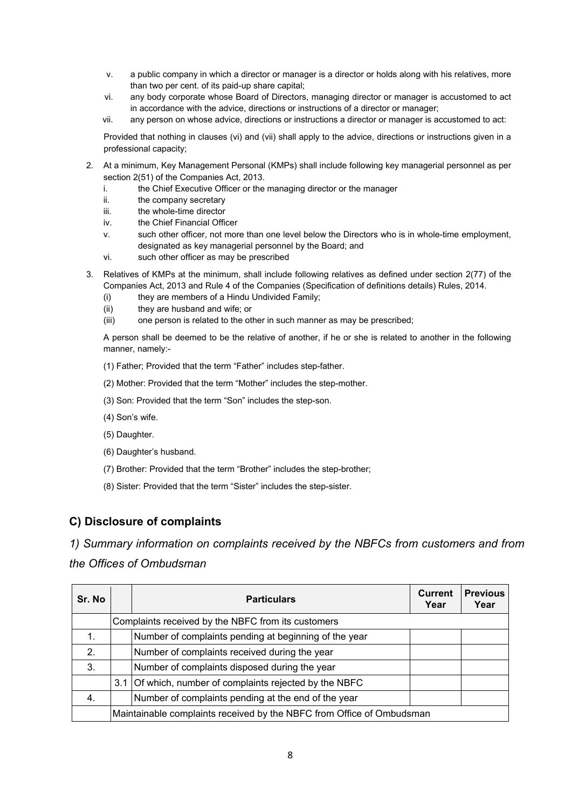- v. a public company in which a director or manager is a director or holds along with his relatives, more than two per cent. of its paid-up share capital;
- vi. any body corporate whose Board of Directors, managing director or manager is accustomed to act in accordance with the advice, directions or instructions of a director or manager;
- vii. any person on whose advice, directions or instructions a director or manager is accustomed to act:

Provided that nothing in clauses (vi) and (vii) shall apply to the advice, directions or instructions given in a professional capacity;

- 2. At a minimum, Key Management Personal (KMPs) shall include following key managerial personnel as per section 2(51) of the Companies Act, 2013.
	- i. the Chief Executive Officer or the managing director or the manager
	- ii. the company secretary
	- iii. the whole-time director
	- iv. the Chief Financial Officer
	- v. such other officer, not more than one level below the Directors who is in whole-time employment, designated as key managerial personnel by the Board; and
	- vi. such other officer as may be prescribed
- 3. Relatives of KMPs at the minimum, shall include following relatives as defined under section 2(77) of the Companies Act, 2013 and Rule 4 of the Companies (Specification of definitions details) Rules, 2014.
	- (i) they are members of a Hindu Undivided Family;
	- (ii) they are husband and wife; or
	- (iii) one person is related to the other in such manner as may be prescribed;

A person shall be deemed to be the relative of another, if he or she is related to another in the following manner, namely:-

- (1) Father; Provided that the term "Father" includes step-father.
- (2) Mother: Provided that the term "Mother" includes the step-mother.
- (3) Son: Provided that the term "Son" includes the step-son.
- (4) Son's wife.
- (5) Daughter.
- (6) Daughter's husband.
- (7) Brother: Provided that the term "Brother" includes the step-brother;
- (8) Sister: Provided that the term "Sister" includes the step-sister.

### **C) Disclosure of complaints**

*1) Summary information on complaints received by the NBFCs from customers and from the Offices of Ombudsman*

| Sr. No        | <b>Particulars</b>                                                    | <b>Current</b><br>Year | <b>Previous</b><br>Year |
|---------------|-----------------------------------------------------------------------|------------------------|-------------------------|
|               | Complaints received by the NBFC from its customers                    |                        |                         |
| 1.            | Number of complaints pending at beginning of the year                 |                        |                         |
| $\mathcal{P}$ | Number of complaints received during the year                         |                        |                         |
| 3.            | Number of complaints disposed during the year                         |                        |                         |
|               | 3.1 Of which, number of complaints rejected by the NBFC               |                        |                         |
| 4.            | Number of complaints pending at the end of the year                   |                        |                         |
|               | Maintainable complaints received by the NBFC from Office of Ombudsman |                        |                         |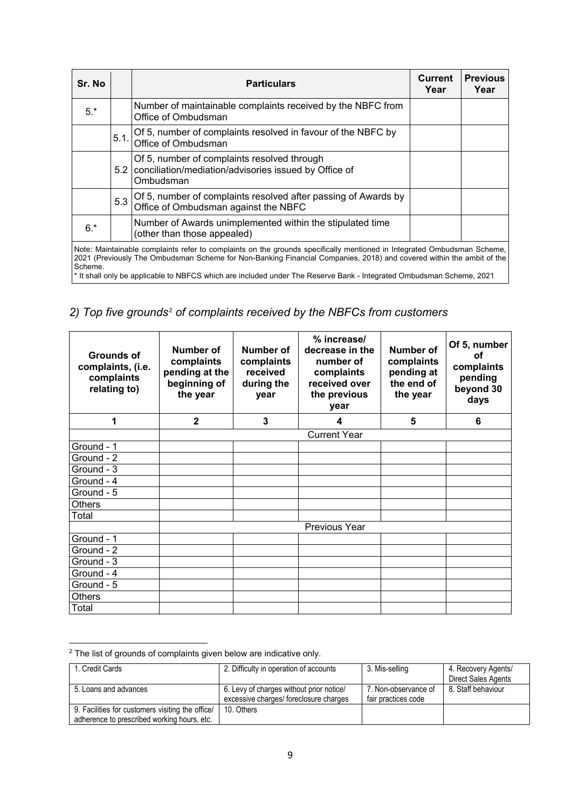| Sr. No  |      | <b>Particulars</b>                                                                                                                                                                                                                                                                                                                                                      | Current<br>Year | <b>Previous</b><br>Year |
|---------|------|-------------------------------------------------------------------------------------------------------------------------------------------------------------------------------------------------------------------------------------------------------------------------------------------------------------------------------------------------------------------------|-----------------|-------------------------|
| $5.*$   |      | Number of maintainable complaints received by the NBFC from<br>Office of Ombudsman                                                                                                                                                                                                                                                                                      |                 |                         |
|         | 5.1. | Of 5, number of complaints resolved in favour of the NBFC by<br>Office of Ombudsman                                                                                                                                                                                                                                                                                     |                 |                         |
|         |      | Of 5, number of complaints resolved through<br>5.2 conciliation/mediation/advisories issued by Office of<br>Ombudsman                                                                                                                                                                                                                                                   |                 |                         |
|         | 5.3  | Of 5, number of complaints resolved after passing of Awards by<br>Office of Ombudsman against the NBFC                                                                                                                                                                                                                                                                  |                 |                         |
| $6.*$   |      | Number of Awards unimplemented within the stipulated time<br>(other than those appealed)                                                                                                                                                                                                                                                                                |                 |                         |
| Scheme. |      | Note: Maintainable complaints refer to complaints on the grounds specifically mentioned in Integrated Ombudsman Scheme,<br>2021 (Previously The Ombudsman Scheme for Non-Banking Financial Companies, 2018) and covered within the ambit of the<br>* It shall only be applicable to NBFCS which are included under The Reserve Bank - Integrated Ombudsman Scheme, 2021 |                 |                         |

# *2) Top five grounds*[2](#page-7-0) *of complaints received by the NBFCs from customers*

| <b>Grounds of</b><br>complaints, (i.e.<br>complaints<br>relating to) | Number of<br>complaints<br>pending at the<br>beginning of<br>the year | Number of<br>complaints<br>received<br>during the<br>year | % increase/<br>decrease in the<br>number of<br>complaints<br>received over<br>the previous<br>year | Number of<br>complaints<br>pending at<br>the end of<br>the year | Of 5, number<br>Ωf<br>complaints<br>pending<br>beyond 30<br>days |
|----------------------------------------------------------------------|-----------------------------------------------------------------------|-----------------------------------------------------------|----------------------------------------------------------------------------------------------------|-----------------------------------------------------------------|------------------------------------------------------------------|
| 1                                                                    | $\mathbf{2}$                                                          | 3                                                         | 4                                                                                                  | 5                                                               | 6                                                                |
|                                                                      |                                                                       |                                                           | Current Year                                                                                       |                                                                 |                                                                  |
| Ground - 1                                                           |                                                                       |                                                           |                                                                                                    |                                                                 |                                                                  |
| Ground - 2                                                           |                                                                       |                                                           |                                                                                                    |                                                                 |                                                                  |
| Ground - 3                                                           |                                                                       |                                                           |                                                                                                    |                                                                 |                                                                  |
| Ground - 4                                                           |                                                                       |                                                           |                                                                                                    |                                                                 |                                                                  |
| Ground - 5                                                           |                                                                       |                                                           |                                                                                                    |                                                                 |                                                                  |
| Others                                                               |                                                                       |                                                           |                                                                                                    |                                                                 |                                                                  |
| Total                                                                |                                                                       |                                                           |                                                                                                    |                                                                 |                                                                  |
|                                                                      |                                                                       |                                                           | Previous Year                                                                                      |                                                                 |                                                                  |
| Ground - 1                                                           |                                                                       |                                                           |                                                                                                    |                                                                 |                                                                  |
| Ground - 2                                                           |                                                                       |                                                           |                                                                                                    |                                                                 |                                                                  |
| Ground - 3                                                           |                                                                       |                                                           |                                                                                                    |                                                                 |                                                                  |
| Ground - 4                                                           |                                                                       |                                                           |                                                                                                    |                                                                 |                                                                  |
| Ground - 5                                                           |                                                                       |                                                           |                                                                                                    |                                                                 |                                                                  |
| <b>Others</b>                                                        |                                                                       |                                                           |                                                                                                    |                                                                 |                                                                  |
| Total                                                                |                                                                       |                                                           |                                                                                                    |                                                                 |                                                                  |

<span id="page-7-0"></span> $\overline{a}$  $2$  The list of grounds of complaints given below are indicative only.

| 1. Credit Cards                                  | 2. Difficulty in operation of accounts   | 3. Mis-selling       | 4. Recovery Agents/ |
|--------------------------------------------------|------------------------------------------|----------------------|---------------------|
|                                                  |                                          |                      | Direct Sales Agents |
| 5. Loans and advances                            | 6. Levy of charges without prior notice/ | 7. Non-observance of | 8. Staff behaviour  |
|                                                  | excessive charges/ foreclosure charges   | fair practices code  |                     |
| 9. Facilities for customers visiting the office/ | 10. Others                               |                      |                     |
| adherence to prescribed working hours, etc.      |                                          |                      |                     |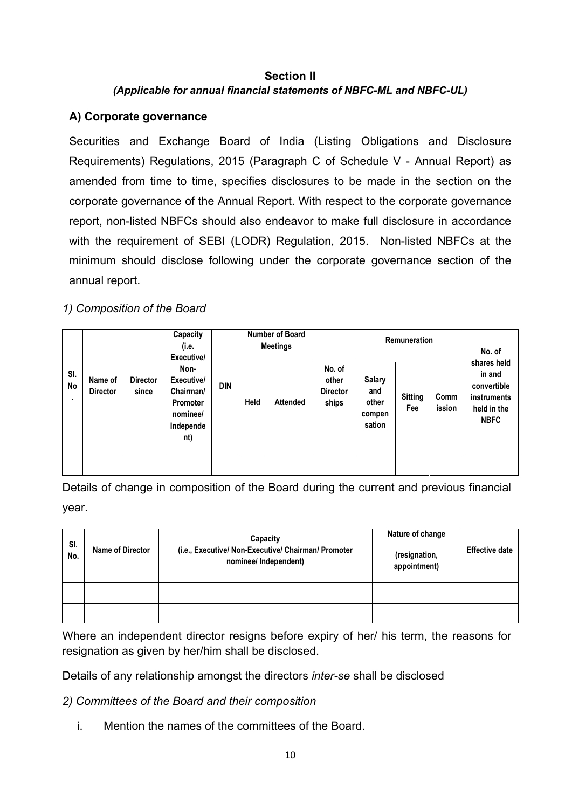## **Section II** *(Applicable for annual financial statements of NBFC-ML and NBFC-UL)*

## **A) Corporate governance**

Securities and Exchange Board of India (Listing Obligations and Disclosure Requirements) Regulations, 2015 (Paragraph C of Schedule V - Annual Report) as amended from time to time, specifies disclosures to be made in the section on the corporate governance of the Annual Report. With respect to the corporate governance report, non-listed NBFCs should also endeavor to make full disclosure in accordance with the requirement of SEBI (LODR) Regulation, 2015. Non-listed NBFCs at the minimum should disclose following under the corporate governance section of the annual report.

## *1) Composition of the Board*

|                       |                            |                          | Capacity<br>(i.e.<br>Executive/                                             |            |      | <b>Number of Board</b><br><b>Meetings</b> |                                             | Remuneration                                      |                       |                | No. of                                                                            |
|-----------------------|----------------------------|--------------------------|-----------------------------------------------------------------------------|------------|------|-------------------------------------------|---------------------------------------------|---------------------------------------------------|-----------------------|----------------|-----------------------------------------------------------------------------------|
| SI.<br><b>No</b><br>٠ | Name of<br><b>Director</b> | <b>Director</b><br>since | Non-<br>Executive/<br>Chairman/<br>Promoter<br>nominee/<br>Independe<br>nt) | <b>DIN</b> | Held | <b>Attended</b>                           | No. of<br>other<br><b>Director</b><br>ships | <b>Salary</b><br>and<br>other<br>compen<br>sation | <b>Sitting</b><br>Fee | Comm<br>ission | shares held<br>in and<br>convertible<br>instruments<br>held in the<br><b>NBFC</b> |
|                       |                            |                          |                                                                             |            |      |                                           |                                             |                                                   |                       |                |                                                                                   |

Details of change in composition of the Board during the current and previous financial year.

| SI.<br>No. | Name of Director | Capacity<br>(i.e., Executive/ Non-Executive/ Chairman/ Promoter<br>nominee/ Independent) | Nature of change<br>(resignation,<br>appointment) | <b>Effective date</b> |
|------------|------------------|------------------------------------------------------------------------------------------|---------------------------------------------------|-----------------------|
|            |                  |                                                                                          |                                                   |                       |
|            |                  |                                                                                          |                                                   |                       |

Where an independent director resigns before expiry of her/ his term, the reasons for resignation as given by her/him shall be disclosed.

Details of any relationship amongst the directors *inter-se* shall be disclosed

## *2) Committees of the Board and their composition*

i. Mention the names of the committees of the Board.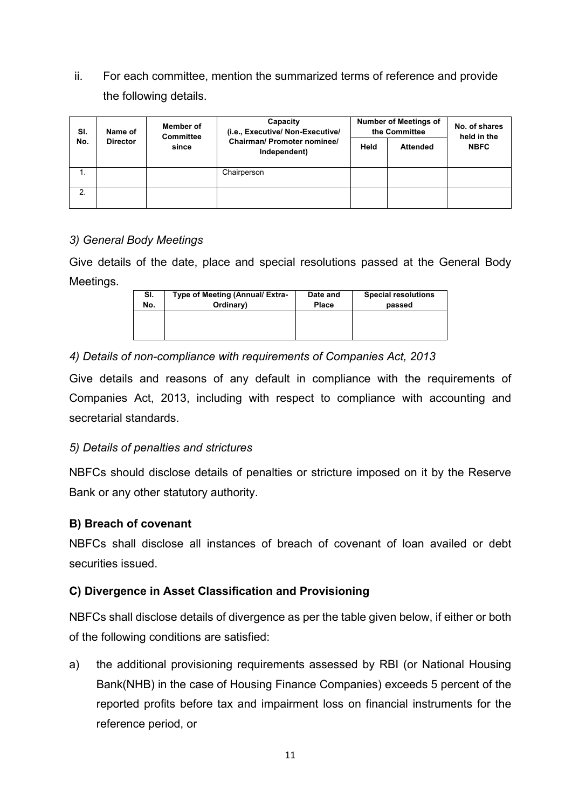ii. For each committee, mention the summarized terms of reference and provide the following details.

| SI.<br>No. | Name of<br><b>Director</b> | Member of<br><b>Committee</b><br>since | Capacity<br>(i.e., Executive/ Non-Executive/<br>Chairman/ Promoter nominee/<br>Independent) | <b>Number of Meetings of</b><br>the Committee |                 | No. of shares<br>held in the |
|------------|----------------------------|----------------------------------------|---------------------------------------------------------------------------------------------|-----------------------------------------------|-----------------|------------------------------|
|            |                            |                                        |                                                                                             | Held                                          | <b>Attended</b> | <b>NBFC</b>                  |
|            |                            |                                        | Chairperson                                                                                 |                                               |                 |                              |
| 2.         |                            |                                        |                                                                                             |                                               |                 |                              |

### *3) General Body Meetings*

Give details of the date, place and special resolutions passed at the General Body Meetings.

| SI. | Type of Meeting (Annual/ Extra- | Date and     | <b>Special resolutions</b> |
|-----|---------------------------------|--------------|----------------------------|
| No. | Ordinary)                       | <b>Place</b> | passed                     |
|     |                                 |              |                            |

## *4) Details of non-compliance with requirements of Companies Act, 2013*

Give details and reasons of any default in compliance with the requirements of Companies Act, 2013, including with respect to compliance with accounting and secretarial standards.

### *5) Details of penalties and strictures*

NBFCs should disclose details of penalties or stricture imposed on it by the Reserve Bank or any other statutory authority.

### **B) Breach of covenant**

NBFCs shall disclose all instances of breach of covenant of loan availed or debt securities issued.

### **C) Divergence in Asset Classification and Provisioning**

NBFCs shall disclose details of divergence as per the table given below, if either or both of the following conditions are satisfied:

a) the additional provisioning requirements assessed by RBI (or National Housing Bank(NHB) in the case of Housing Finance Companies) exceeds 5 percent of the reported profits before tax and impairment loss on financial instruments for the reference period, or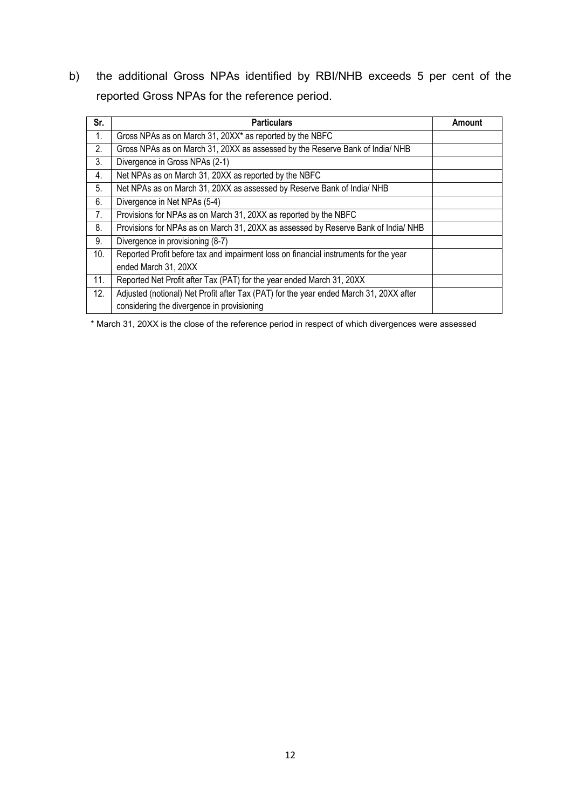b) the additional Gross NPAs identified by RBI/NHB exceeds 5 per cent of the reported Gross NPAs for the reference period.

| Sr. | <b>Particulars</b>                                                                     | Amount |
|-----|----------------------------------------------------------------------------------------|--------|
| 1.  | Gross NPAs as on March 31, 20XX* as reported by the NBFC                               |        |
| 2.  | Gross NPAs as on March 31, 20XX as assessed by the Reserve Bank of India/ NHB          |        |
| 3.  | Divergence in Gross NPAs (2-1)                                                         |        |
| 4.  | Net NPAs as on March 31, 20XX as reported by the NBFC                                  |        |
| 5.  | Net NPAs as on March 31, 20XX as assessed by Reserve Bank of India/ NHB                |        |
| 6.  | Divergence in Net NPAs (5-4)                                                           |        |
| 7.  | Provisions for NPAs as on March 31, 20XX as reported by the NBFC                       |        |
| 8.  | Provisions for NPAs as on March 31, 20XX as assessed by Reserve Bank of India/ NHB     |        |
| 9.  | Divergence in provisioning (8-7)                                                       |        |
| 10. | Reported Profit before tax and impairment loss on financial instruments for the year   |        |
|     | ended March 31, 20XX                                                                   |        |
| 11. | Reported Net Profit after Tax (PAT) for the year ended March 31, 20XX                  |        |
| 12. | Adjusted (notional) Net Profit after Tax (PAT) for the year ended March 31, 20XX after |        |
|     | considering the divergence in provisioning                                             |        |

\* March 31, 20XX is the close of the reference period in respect of which divergences were assessed